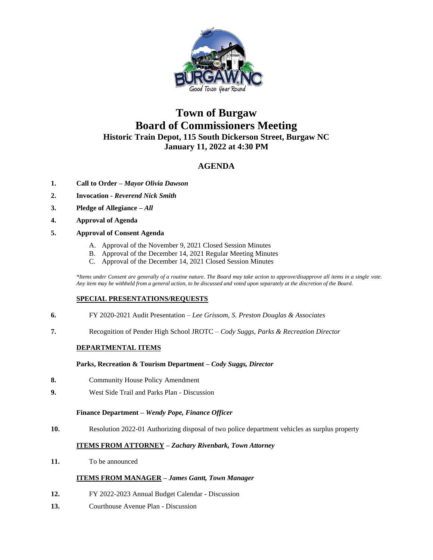

# **Town of Burgaw Board of Commissioners Meeting Historic Train Depot, 115 South Dickerson Street, Burgaw NC January 11, 2022 at 4:30 PM**

# **AGENDA**

- **1. Call to Order –** *Mayor Olivia Dawson*
- **2. Invocation -** *Reverend Nick Smith*
- **3. Pledge of Allegiance** *– All*
- **4. Approval of Agenda**
- **5. Approval of Consent Agenda**
	- A. Approval of the November 9, 2021 Closed Session Minutes
	- B. Approval of the December 14, 2021 Regular Meeting Minutes
	- C. Approval of the December 14, 2021 Closed Session Minutes

*\*Items under Consent are generally of a routine nature. The Board may take action to approve/disapprove all items in a single vote. Any item may be withheld from a general action, to be discussed and voted upon separately at the discretion of the Board.*

# **SPECIAL PRESENTATIONS/REQUESTS**

- **6.** FY 2020-2021 Audit Presentation *Lee Grissom, S. Preston Douglas & Associates*
- **7.** Recognition of Pender High School JROTC *Cody Suggs, Parks & Recreation Director*

# **DEPARTMENTAL ITEMS**

#### **Parks, Recreation & Tourism Department –** *Cody Suggs, Director*

- **8.** Community House Policy Amendment
- **9.** West Side Trail and Parks Plan Discussion

### **Finance Department –** *Wendy Pope, Finance Officer*

**10.** Resolution 2022-01 Authorizing disposal of two police department vehicles as surplus property

# **ITEMS FROM ATTORNEY** *– Zachary Rivenbark, Town Attorney*

**11.** To be announced

# **ITEMS FROM MANAGER –** *James Gantt, Town Manager*

- **12.** FY 2022-2023 Annual Budget Calendar Discussion
- **13.** Courthouse Avenue Plan Discussion